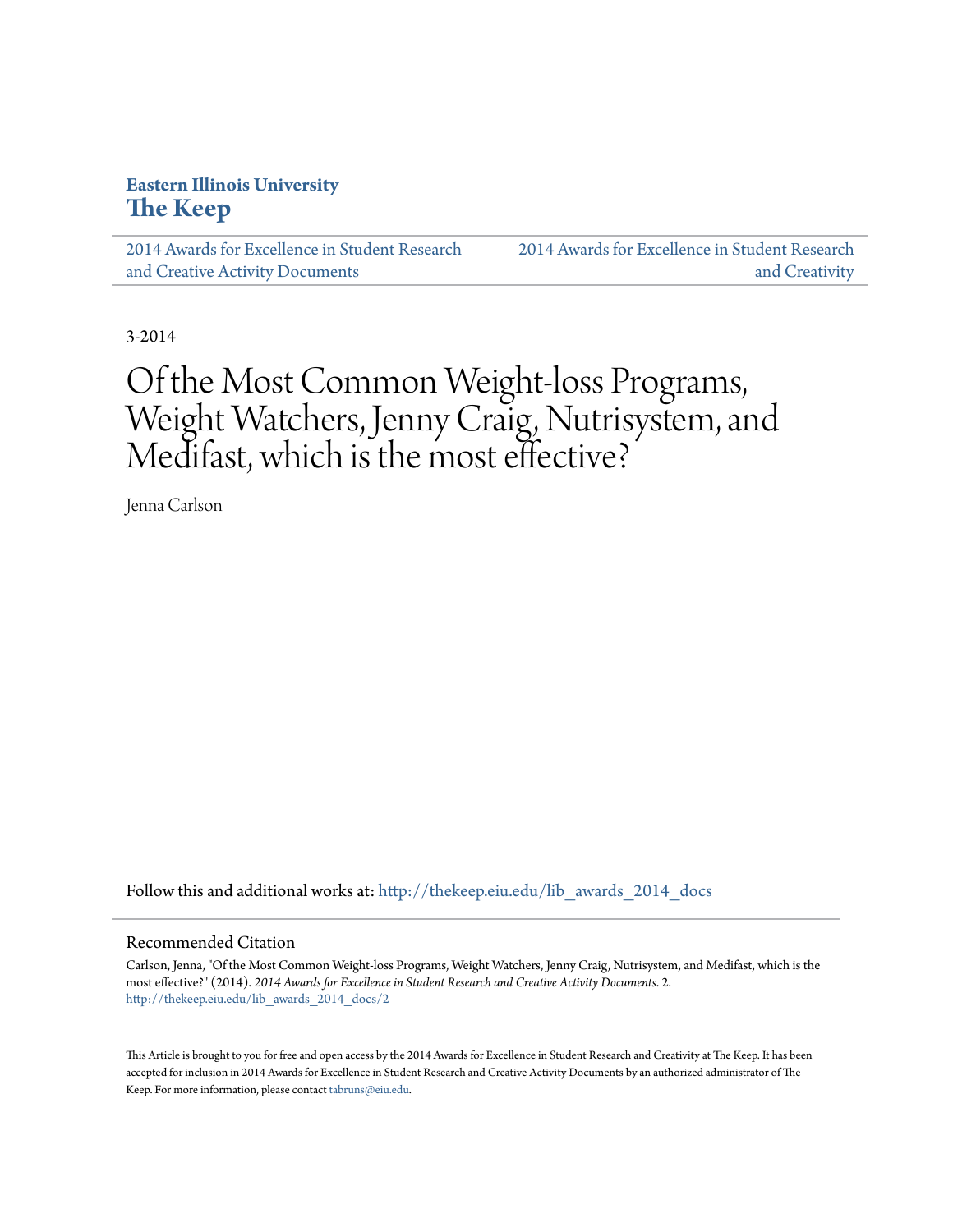## **Eastern Illinois University [The Keep](http://thekeep.eiu.edu?utm_source=thekeep.eiu.edu%2Flib_awards_2014_docs%2F2&utm_medium=PDF&utm_campaign=PDFCoverPages)**

[2014 Awards for Excellence in Student Research](http://thekeep.eiu.edu/lib_awards_2014_docs?utm_source=thekeep.eiu.edu%2Flib_awards_2014_docs%2F2&utm_medium=PDF&utm_campaign=PDFCoverPages) [and Creative Activity Documents](http://thekeep.eiu.edu/lib_awards_2014_docs?utm_source=thekeep.eiu.edu%2Flib_awards_2014_docs%2F2&utm_medium=PDF&utm_campaign=PDFCoverPages)

[2014 Awards for Excellence in Student Research](http://thekeep.eiu.edu/lib_awards_2014?utm_source=thekeep.eiu.edu%2Flib_awards_2014_docs%2F2&utm_medium=PDF&utm_campaign=PDFCoverPages) [and Creativity](http://thekeep.eiu.edu/lib_awards_2014?utm_source=thekeep.eiu.edu%2Flib_awards_2014_docs%2F2&utm_medium=PDF&utm_campaign=PDFCoverPages)

3-2014

# Of the Most Common Weight-loss Programs, Weight Watchers, Jenny Craig, Nutrisystem, and Medifast, which is the most effective?

Jenna Carlson

Follow this and additional works at: [http://thekeep.eiu.edu/lib\\_awards\\_2014\\_docs](http://thekeep.eiu.edu/lib_awards_2014_docs?utm_source=thekeep.eiu.edu%2Flib_awards_2014_docs%2F2&utm_medium=PDF&utm_campaign=PDFCoverPages)

#### Recommended Citation

Carlson, Jenna, "Of the Most Common Weight-loss Programs, Weight Watchers, Jenny Craig, Nutrisystem, and Medifast, which is the most effective?" (2014). *2014 Awards for Excellence in Student Research and Creative Activity Documents*. 2. [http://thekeep.eiu.edu/lib\\_awards\\_2014\\_docs/2](http://thekeep.eiu.edu/lib_awards_2014_docs/2?utm_source=thekeep.eiu.edu%2Flib_awards_2014_docs%2F2&utm_medium=PDF&utm_campaign=PDFCoverPages)

This Article is brought to you for free and open access by the 2014 Awards for Excellence in Student Research and Creativity at The Keep. It has been accepted for inclusion in 2014 Awards for Excellence in Student Research and Creative Activity Documents by an authorized administrator of The Keep. For more information, please contact [tabruns@eiu.edu.](mailto:tabruns@eiu.edu)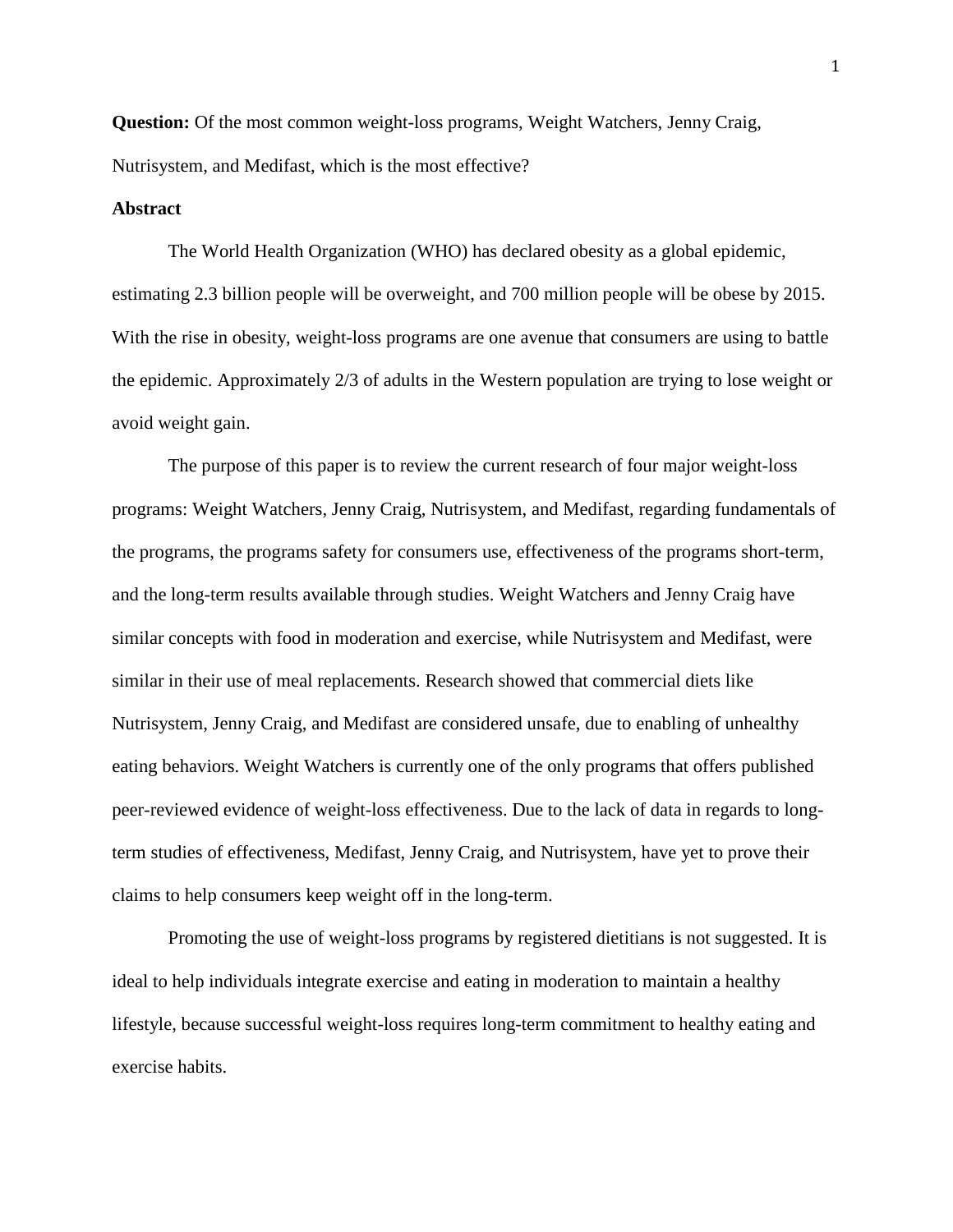**Question:** Of the most common weight-loss programs, Weight Watchers, Jenny Craig, Nutrisystem, and Medifast, which is the most effective?

#### **Abstract**

The World Health Organization (WHO) has declared obesity as a global epidemic, estimating 2.3 billion people will be overweight, and 700 million people will be obese by 2015. With the rise in obesity, weight-loss programs are one avenue that consumers are using to battle the epidemic. Approximately 2/3 of adults in the Western population are trying to lose weight or avoid weight gain.

The purpose of this paper is to review the current research of four major weight-loss programs: Weight Watchers, Jenny Craig, Nutrisystem, and Medifast, regarding fundamentals of the programs, the programs safety for consumers use, effectiveness of the programs short-term, and the long-term results available through studies. Weight Watchers and Jenny Craig have similar concepts with food in moderation and exercise, while Nutrisystem and Medifast, were similar in their use of meal replacements. Research showed that commercial diets like Nutrisystem, Jenny Craig, and Medifast are considered unsafe, due to enabling of unhealthy eating behaviors. Weight Watchers is currently one of the only programs that offers published peer-reviewed evidence of weight-loss effectiveness. Due to the lack of data in regards to longterm studies of effectiveness, Medifast, Jenny Craig, and Nutrisystem, have yet to prove their claims to help consumers keep weight off in the long-term.

Promoting the use of weight-loss programs by registered dietitians is not suggested. It is ideal to help individuals integrate exercise and eating in moderation to maintain a healthy lifestyle, because successful weight-loss requires long-term commitment to healthy eating and exercise habits.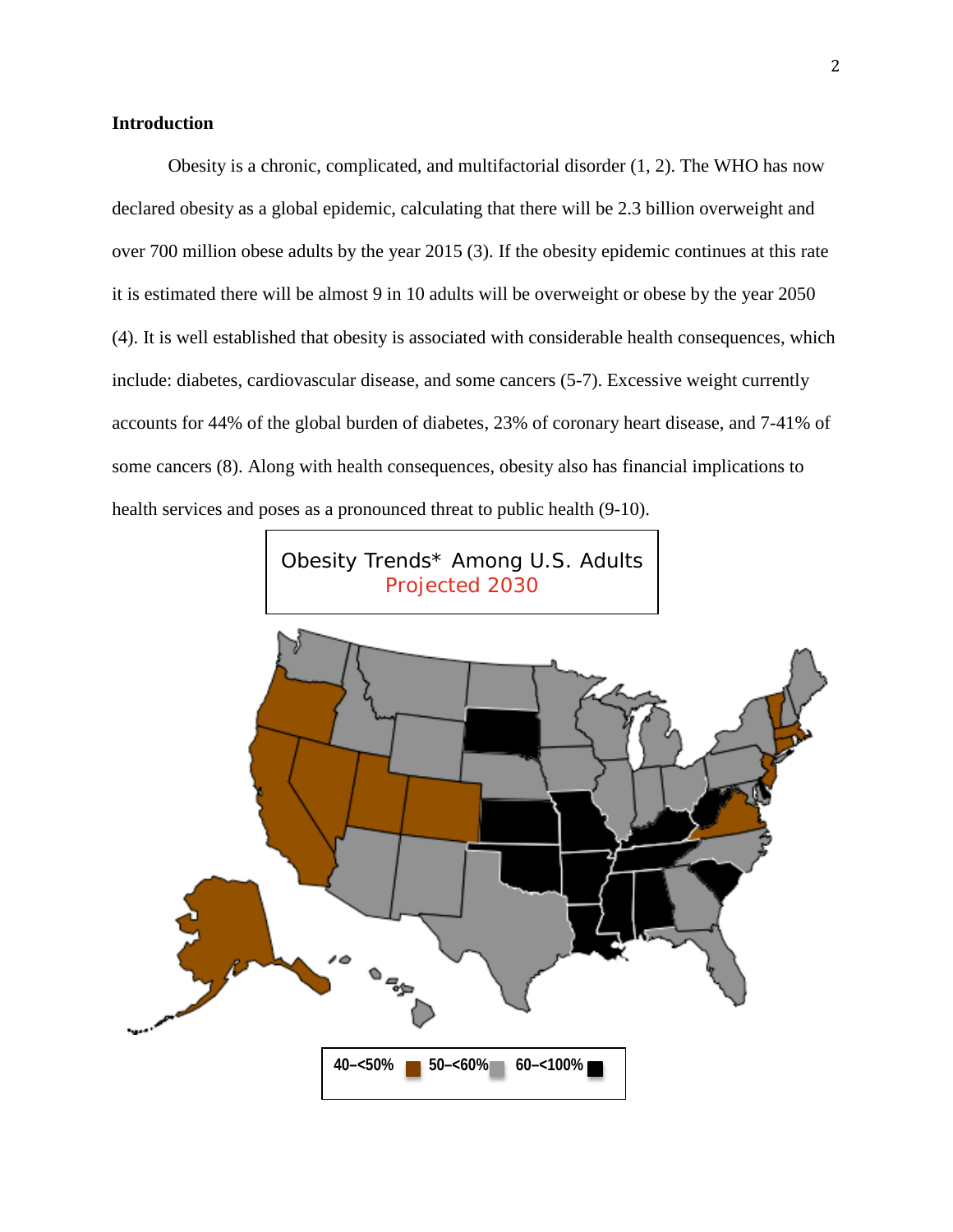## **Introduction**

Obesity is a chronic, complicated, and multifactorial disorder (1, 2). The WHO has now declared obesity as a global epidemic, calculating that there will be 2.3 billion overweight and over 700 million obese adults by the year 2015 (3). If the obesity epidemic continues at this rate it is estimated there will be almost 9 in 10 adults will be overweight or obese by the year 2050 (4). It is well established that obesity is associated with considerable health consequences, which include: diabetes, cardiovascular disease, and some cancers (5-7). Excessive weight currently accounts for 44% of the global burden of diabetes, 23% of coronary heart disease, and 7-41% of some cancers (8). Along with health consequences, obesity also has financial implications to health services and poses as a pronounced threat to public health (9-10).

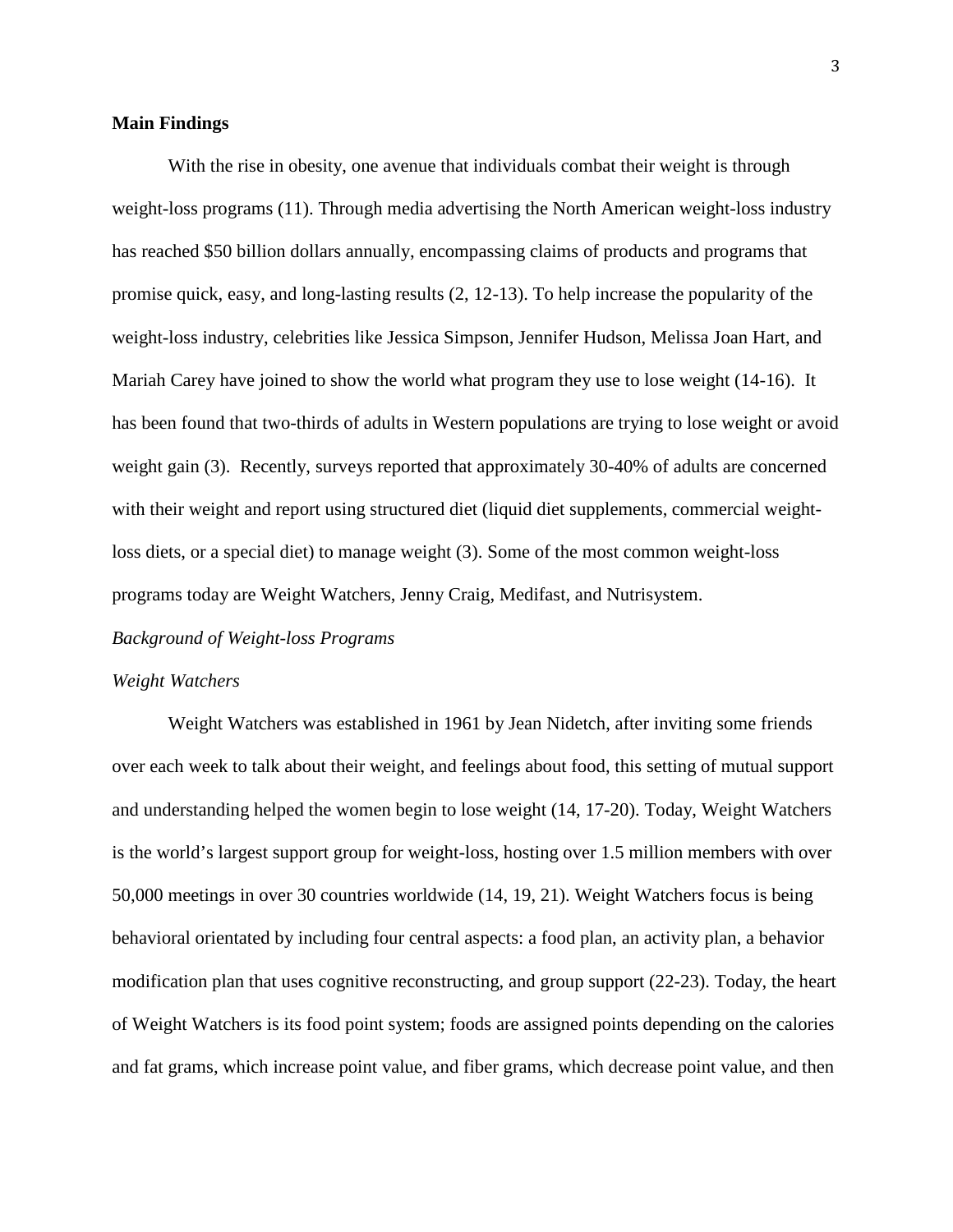## **Main Findings**

With the rise in obesity, one avenue that individuals combat their weight is through weight-loss programs (11). Through media advertising the North American weight-loss industry has reached \$50 billion dollars annually, encompassing claims of products and programs that promise quick, easy, and long-lasting results (2, 12-13). To help increase the popularity of the weight-loss industry, celebrities like Jessica Simpson, Jennifer Hudson, Melissa Joan Hart, and Mariah Carey have joined to show the world what program they use to lose weight (14-16). It has been found that two-thirds of adults in Western populations are trying to lose weight or avoid weight gain (3). Recently, surveys reported that approximately 30-40% of adults are concerned with their weight and report using structured diet (liquid diet supplements, commercial weightloss diets, or a special diet) to manage weight (3). Some of the most common weight-loss programs today are Weight Watchers, Jenny Craig, Medifast, and Nutrisystem.

#### *Background of Weight-loss Programs*

#### *Weight Watchers*

Weight Watchers was established in 1961 by Jean Nidetch, after inviting some friends over each week to talk about their weight, and feelings about food, this setting of mutual support and understanding helped the women begin to lose weight (14, 17-20). Today, Weight Watchers is the world's largest support group for weight-loss, hosting over 1.5 million members with over 50,000 meetings in over 30 countries worldwide (14, 19, 21). Weight Watchers focus is being behavioral orientated by including four central aspects: a food plan, an activity plan, a behavior modification plan that uses cognitive reconstructing, and group support (22-23). Today, the heart of Weight Watchers is its food point system; foods are assigned points depending on the calories and fat grams, which increase point value, and fiber grams, which decrease point value, and then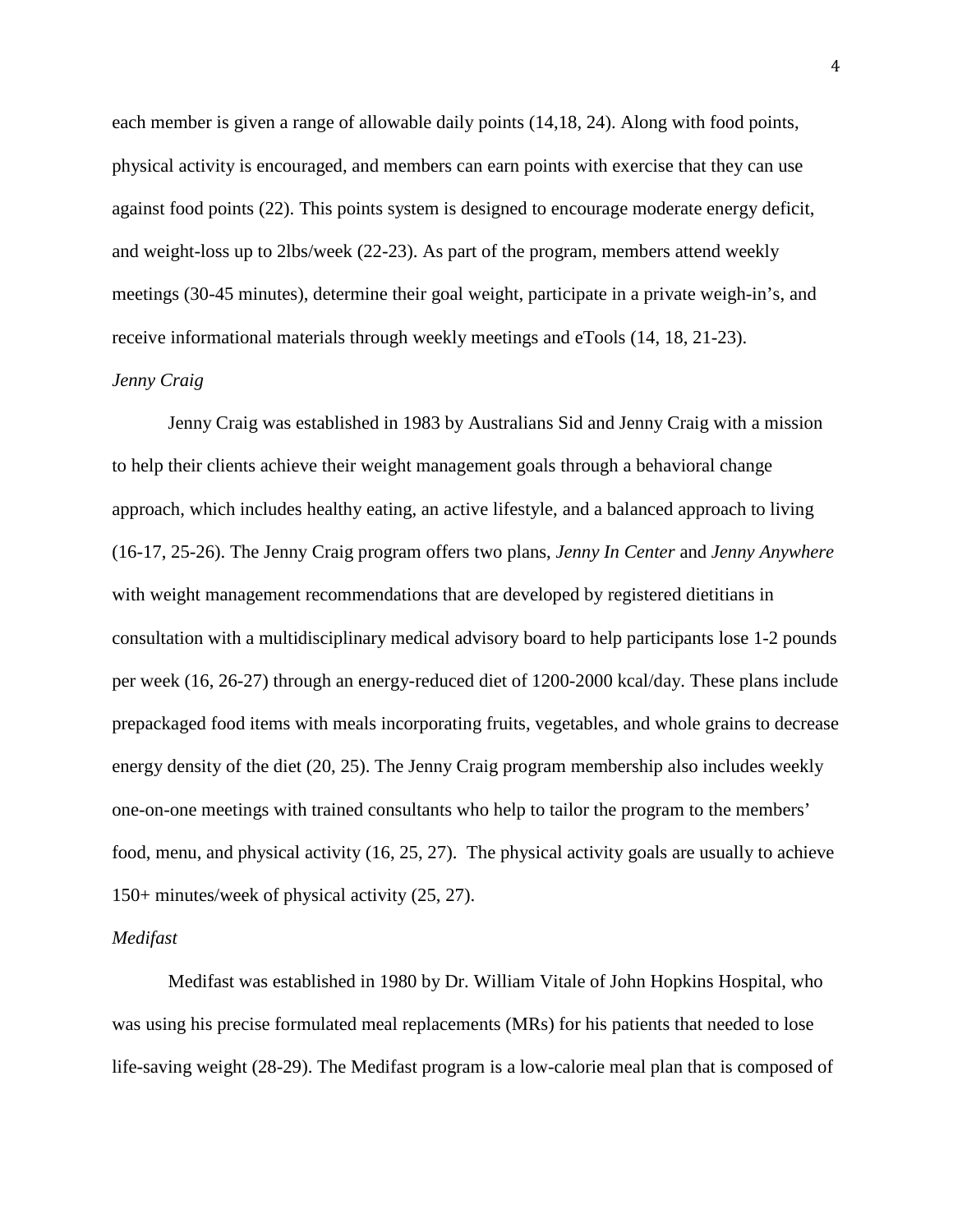each member is given a range of allowable daily points (14,18, 24). Along with food points, physical activity is encouraged, and members can earn points with exercise that they can use against food points (22). This points system is designed to encourage moderate energy deficit, and weight-loss up to 2lbs/week (22-23). As part of the program, members attend weekly meetings (30-45 minutes), determine their goal weight, participate in a private weigh-in's, and receive informational materials through weekly meetings and eTools (14, 18, 21-23).

## *Jenny Craig*

Jenny Craig was established in 1983 by Australians Sid and Jenny Craig with a mission to help their clients achieve their weight management goals through a behavioral change approach, which includes healthy eating, an active lifestyle, and a balanced approach to living (16-17, 25-26). The Jenny Craig program offers two plans, *Jenny In Center* and *Jenny Anywhere* with weight management recommendations that are developed by registered dietitians in consultation with a multidisciplinary medical advisory board to help participants lose 1-2 pounds per week (16, 26-27) through an energy-reduced diet of 1200-2000 kcal/day. These plans include prepackaged food items with meals incorporating fruits, vegetables, and whole grains to decrease energy density of the diet (20, 25). The Jenny Craig program membership also includes weekly one-on-one meetings with trained consultants who help to tailor the program to the members' food, menu, and physical activity (16, 25, 27). The physical activity goals are usually to achieve 150+ minutes/week of physical activity (25, 27).

#### *Medifast*

Medifast was established in 1980 by Dr. William Vitale of John Hopkins Hospital, who was using his precise formulated meal replacements (MRs) for his patients that needed to lose life-saving weight (28-29). The Medifast program is a low-calorie meal plan that is composed of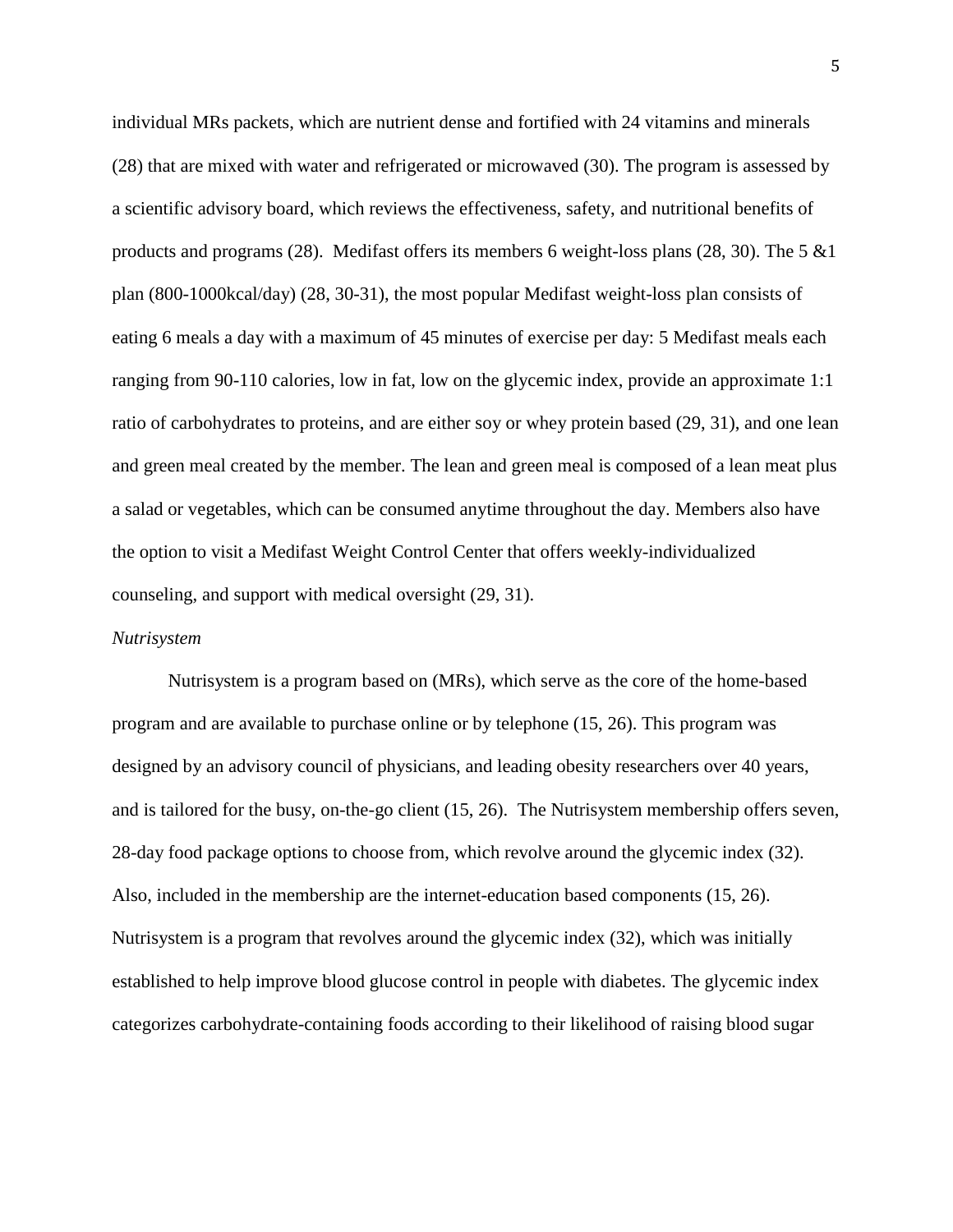individual MRs packets, which are nutrient dense and fortified with 24 vitamins and minerals (28) that are mixed with water and refrigerated or microwaved (30). The program is assessed by a scientific advisory board, which reviews the effectiveness, safety, and nutritional benefits of products and programs (28). Medifast offers its members 6 weight-loss plans (28, 30). The 5  $&1$ plan (800-1000kcal/day) (28, 30-31), the most popular Medifast weight-loss plan consists of eating 6 meals a day with a maximum of 45 minutes of exercise per day: 5 Medifast meals each ranging from 90-110 calories, low in fat, low on the glycemic index, provide an approximate 1:1 ratio of carbohydrates to proteins, and are either soy or whey protein based (29, 31), and one lean and green meal created by the member. The lean and green meal is composed of a lean meat plus a salad or vegetables, which can be consumed anytime throughout the day. Members also have the option to visit a Medifast Weight Control Center that offers weekly-individualized counseling, and support with medical oversight (29, 31).

#### *Nutrisystem*

Nutrisystem is a program based on (MRs), which serve as the core of the home-based program and are available to purchase online or by telephone (15, 26). This program was designed by an advisory council of physicians, and leading obesity researchers over 40 years, and is tailored for the busy, on-the-go client (15, 26). The Nutrisystem membership offers seven, 28-day food package options to choose from, which revolve around the glycemic index (32). Also, included in the membership are the internet-education based components (15, 26). Nutrisystem is a program that revolves around the glycemic index (32), which was initially established to help improve blood glucose control in people with diabetes. The glycemic index categorizes carbohydrate-containing foods according to their likelihood of raising blood sugar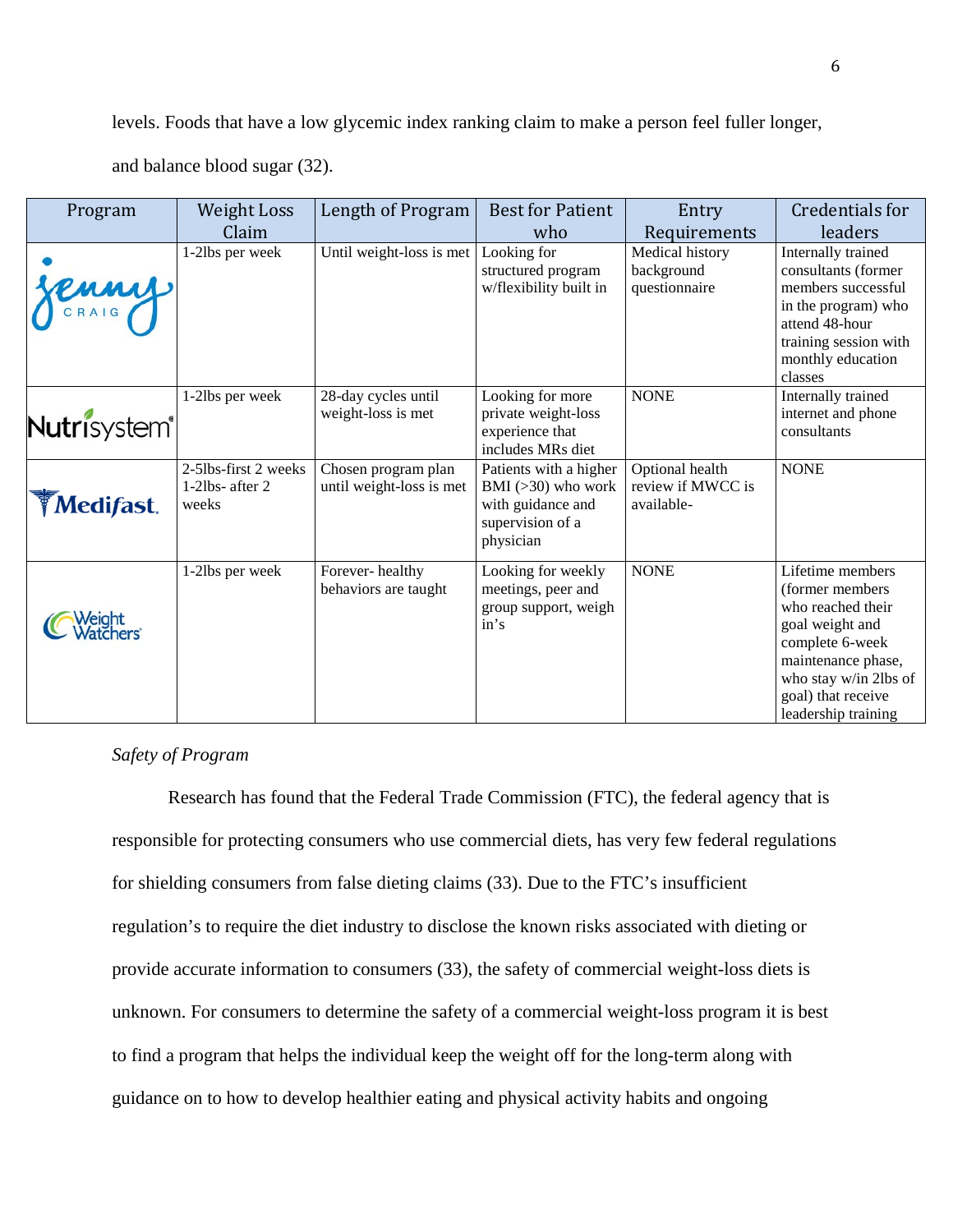levels. Foods that have a low glycemic index ranking claim to make a person feel fuller longer,

and balance blood sugar (32).

| Program                  | <b>Weight Loss</b>                                  | Length of Program                               | <b>Best for Patient</b>                                                                              | Entry                                              | Credentials for                                                                                                                                                                            |
|--------------------------|-----------------------------------------------------|-------------------------------------------------|------------------------------------------------------------------------------------------------------|----------------------------------------------------|--------------------------------------------------------------------------------------------------------------------------------------------------------------------------------------------|
|                          | Claim                                               |                                                 | who                                                                                                  | Requirements                                       | leaders                                                                                                                                                                                    |
| Jenny                    | 1-21bs per week                                     | Until weight-loss is met                        | Looking for<br>structured program<br>w/flexibility built in                                          | Medical history<br>background<br>questionnaire     | Internally trained<br>consultants (former<br>members successful<br>in the program) who<br>attend 48-hour<br>training session with<br>monthly education<br>classes                          |
| Nutrisystem <sup>®</sup> | 1-2lbs per week                                     | 28-day cycles until<br>weight-loss is met       | Looking for more<br>private weight-loss<br>experience that<br>includes MRs diet                      | <b>NONE</b>                                        | Internally trained<br>internet and phone<br>consultants                                                                                                                                    |
| <b>Medifast.</b>         | 2-51bs-first 2 weeks<br>$1-2$ lbs- after 2<br>weeks | Chosen program plan<br>until weight-loss is met | Patients with a higher<br>BMI $(>30)$ who work<br>with guidance and<br>supervision of a<br>physician | Optional health<br>review if MWCC is<br>available- | <b>NONE</b>                                                                                                                                                                                |
| Weight<br>Watchers       | 1-2lbs per week                                     | Forever-healthy<br>behaviors are taught         | Looking for weekly<br>meetings, peer and<br>group support, weigh<br>in's                             | <b>NONE</b>                                        | Lifetime members<br>(former members<br>who reached their<br>goal weight and<br>complete 6-week<br>maintenance phase,<br>who stay w/in 2lbs of<br>goal) that receive<br>leadership training |

## *Safety of Program*

Research has found that the Federal Trade Commission (FTC), the federal agency that is responsible for protecting consumers who use commercial diets, has very few federal regulations for shielding consumers from false dieting claims (33). Due to the FTC's insufficient regulation's to require the diet industry to disclose the known risks associated with dieting or provide accurate information to consumers (33), the safety of commercial weight-loss diets is unknown. For consumers to determine the safety of a commercial weight-loss program it is best to find a program that helps the individual keep the weight off for the long-term along with guidance on to how to develop healthier eating and physical activity habits and ongoing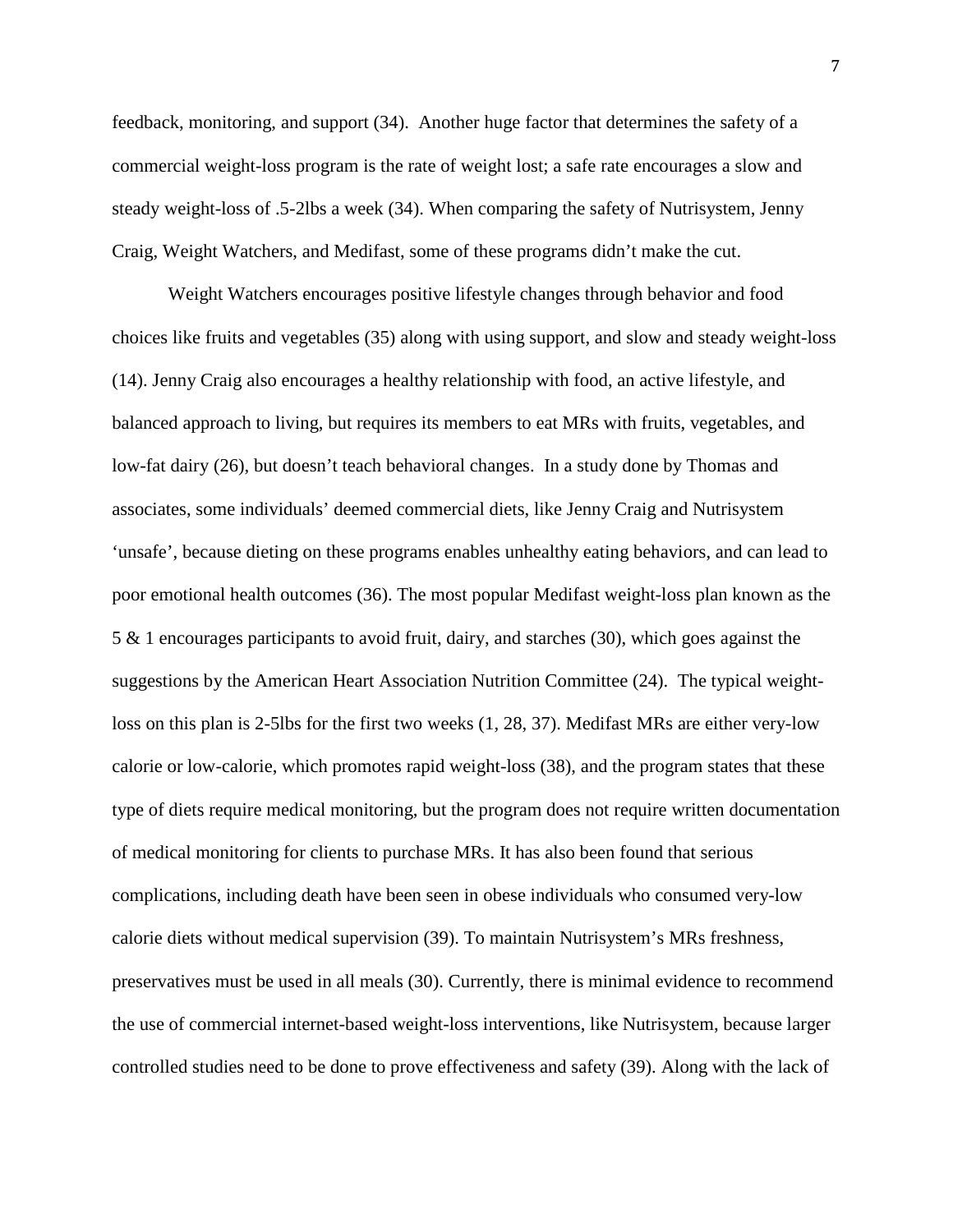feedback, monitoring, and support (34). Another huge factor that determines the safety of a commercial weight-loss program is the rate of weight lost; a safe rate encourages a slow and steady weight-loss of .5-2lbs a week (34). When comparing the safety of Nutrisystem, Jenny Craig, Weight Watchers, and Medifast, some of these programs didn't make the cut.

Weight Watchers encourages positive lifestyle changes through behavior and food choices like fruits and vegetables (35) along with using support, and slow and steady weight-loss (14). Jenny Craig also encourages a healthy relationship with food, an active lifestyle, and balanced approach to living, but requires its members to eat MRs with fruits, vegetables, and low-fat dairy (26), but doesn't teach behavioral changes. In a study done by Thomas and associates, some individuals' deemed commercial diets, like Jenny Craig and Nutrisystem 'unsafe', because dieting on these programs enables unhealthy eating behaviors, and can lead to poor emotional health outcomes (36). The most popular Medifast weight-loss plan known as the 5 & 1 encourages participants to avoid fruit, dairy, and starches (30), which goes against the suggestions by the American Heart Association Nutrition Committee (24). The typical weightloss on this plan is 2-5lbs for the first two weeks (1, 28, 37). Medifast MRs are either very-low calorie or low-calorie, which promotes rapid weight-loss (38), and the program states that these type of diets require medical monitoring, but the program does not require written documentation of medical monitoring for clients to purchase MRs. It has also been found that serious complications, including death have been seen in obese individuals who consumed very-low calorie diets without medical supervision (39). To maintain Nutrisystem's MRs freshness, preservatives must be used in all meals (30). Currently, there is minimal evidence to recommend the use of commercial internet-based weight-loss interventions, like Nutrisystem, because larger controlled studies need to be done to prove effectiveness and safety (39). Along with the lack of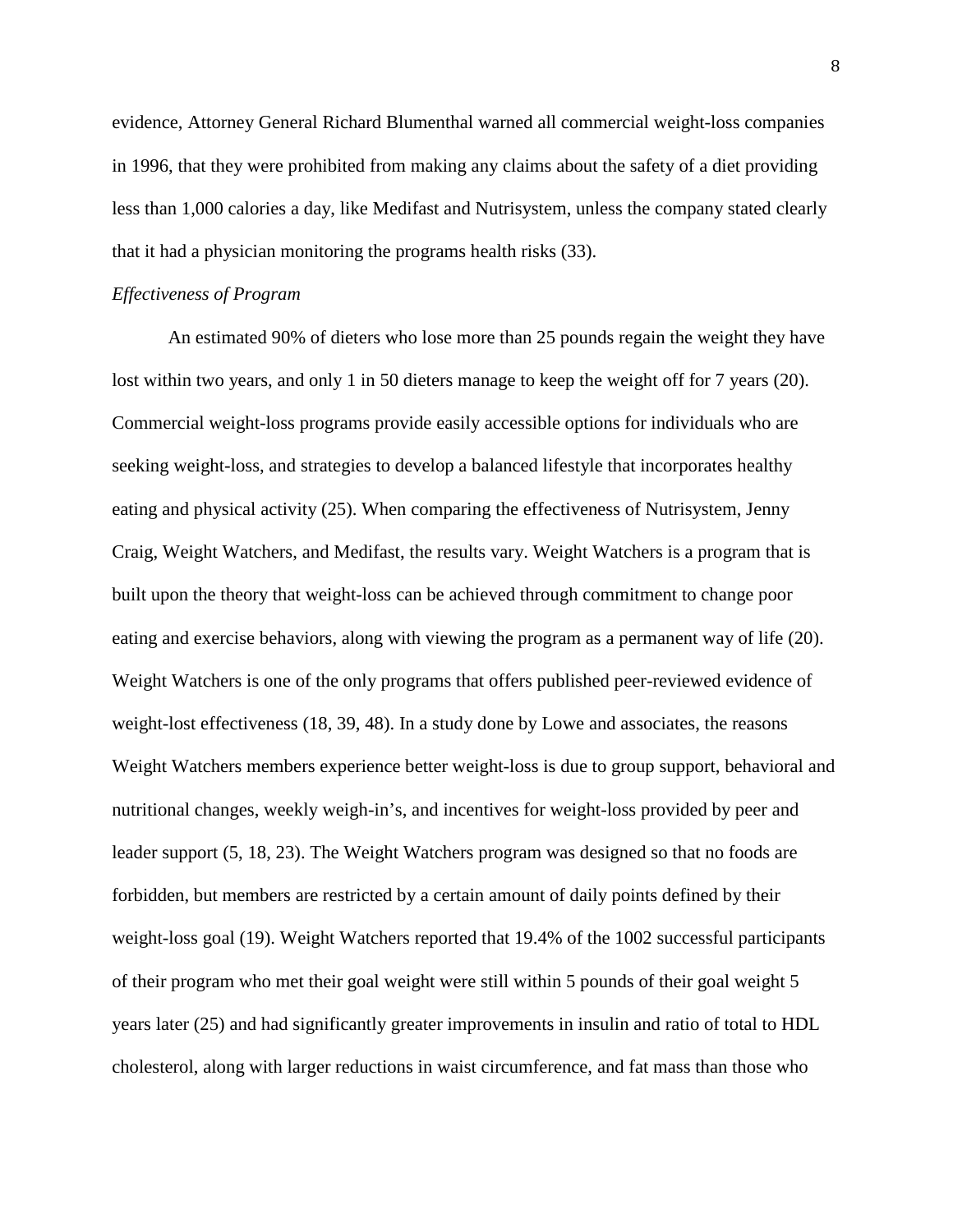evidence, Attorney General Richard Blumenthal warned all commercial weight-loss companies in 1996, that they were prohibited from making any claims about the safety of a diet providing less than 1,000 calories a day, like Medifast and Nutrisystem, unless the company stated clearly that it had a physician monitoring the programs health risks (33).

## *Effectiveness of Program*

An estimated 90% of dieters who lose more than 25 pounds regain the weight they have lost within two years, and only 1 in 50 dieters manage to keep the weight off for 7 years (20). Commercial weight-loss programs provide easily accessible options for individuals who are seeking weight-loss, and strategies to develop a balanced lifestyle that incorporates healthy eating and physical activity (25). When comparing the effectiveness of Nutrisystem, Jenny Craig, Weight Watchers, and Medifast, the results vary. Weight Watchers is a program that is built upon the theory that weight-loss can be achieved through commitment to change poor eating and exercise behaviors, along with viewing the program as a permanent way of life (20). Weight Watchers is one of the only programs that offers published peer-reviewed evidence of weight-lost effectiveness (18, 39, 48). In a study done by Lowe and associates, the reasons Weight Watchers members experience better weight-loss is due to group support, behavioral and nutritional changes, weekly weigh-in's, and incentives for weight-loss provided by peer and leader support (5, 18, 23). The Weight Watchers program was designed so that no foods are forbidden, but members are restricted by a certain amount of daily points defined by their weight-loss goal (19). Weight Watchers reported that 19.4% of the 1002 successful participants of their program who met their goal weight were still within 5 pounds of their goal weight 5 years later (25) and had significantly greater improvements in insulin and ratio of total to HDL cholesterol, along with larger reductions in waist circumference, and fat mass than those who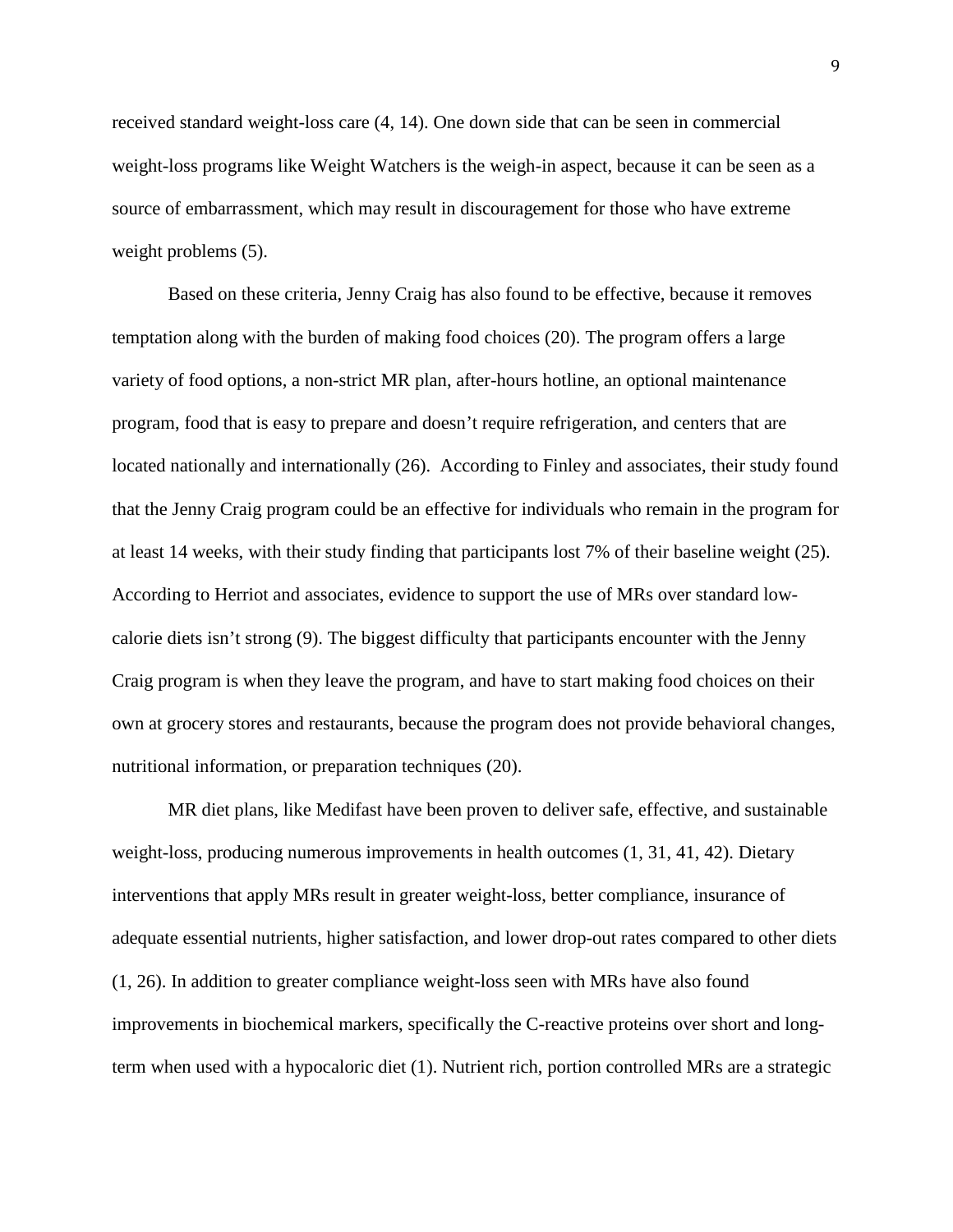received standard weight-loss care (4, 14). One down side that can be seen in commercial weight-loss programs like Weight Watchers is the weigh-in aspect, because it can be seen as a source of embarrassment, which may result in discouragement for those who have extreme weight problems (5).

Based on these criteria, Jenny Craig has also found to be effective, because it removes temptation along with the burden of making food choices (20). The program offers a large variety of food options, a non-strict MR plan, after-hours hotline, an optional maintenance program, food that is easy to prepare and doesn't require refrigeration, and centers that are located nationally and internationally (26). According to Finley and associates, their study found that the Jenny Craig program could be an effective for individuals who remain in the program for at least 14 weeks, with their study finding that participants lost 7% of their baseline weight (25). According to Herriot and associates, evidence to support the use of MRs over standard lowcalorie diets isn't strong (9). The biggest difficulty that participants encounter with the Jenny Craig program is when they leave the program, and have to start making food choices on their own at grocery stores and restaurants, because the program does not provide behavioral changes, nutritional information, or preparation techniques (20).

MR diet plans, like Medifast have been proven to deliver safe, effective, and sustainable weight-loss, producing numerous improvements in health outcomes (1, 31, 41, 42). Dietary interventions that apply MRs result in greater weight-loss, better compliance, insurance of adequate essential nutrients, higher satisfaction, and lower drop-out rates compared to other diets (1, 26). In addition to greater compliance weight-loss seen with MRs have also found improvements in biochemical markers, specifically the C-reactive proteins over short and longterm when used with a hypocaloric diet (1). Nutrient rich, portion controlled MRs are a strategic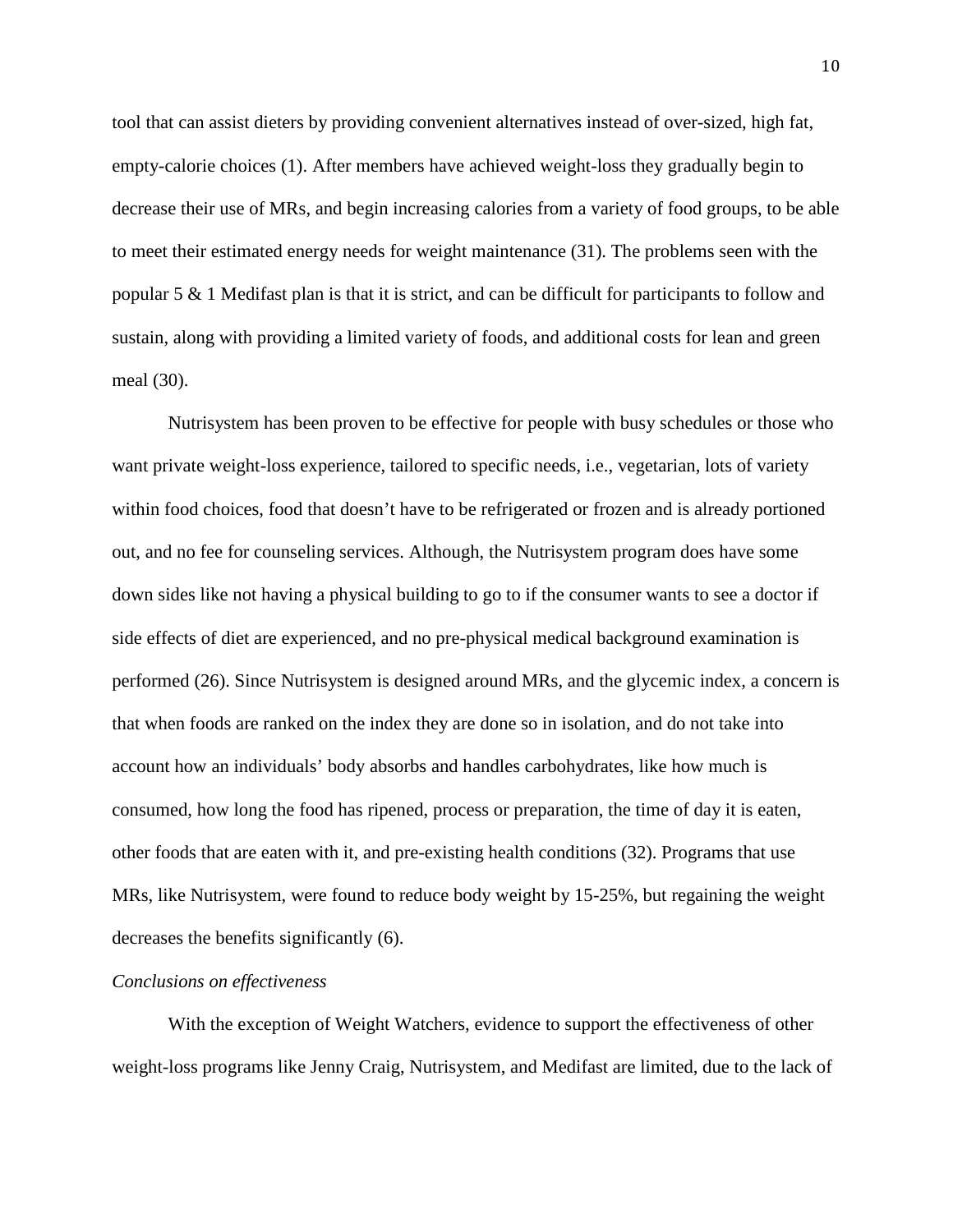tool that can assist dieters by providing convenient alternatives instead of over-sized, high fat, empty-calorie choices (1). After members have achieved weight-loss they gradually begin to decrease their use of MRs, and begin increasing calories from a variety of food groups, to be able to meet their estimated energy needs for weight maintenance (31). The problems seen with the popular 5 & 1 Medifast plan is that it is strict, and can be difficult for participants to follow and sustain, along with providing a limited variety of foods, and additional costs for lean and green meal (30).

Nutrisystem has been proven to be effective for people with busy schedules or those who want private weight-loss experience, tailored to specific needs, i.e., vegetarian, lots of variety within food choices, food that doesn't have to be refrigerated or frozen and is already portioned out, and no fee for counseling services. Although, the Nutrisystem program does have some down sides like not having a physical building to go to if the consumer wants to see a doctor if side effects of diet are experienced, and no pre-physical medical background examination is performed (26). Since Nutrisystem is designed around MRs, and the glycemic index, a concern is that when foods are ranked on the index they are done so in isolation, and do not take into account how an individuals' body absorbs and handles carbohydrates, like how much is consumed, how long the food has ripened, process or preparation, the time of day it is eaten, other foods that are eaten with it, and pre-existing health conditions (32). Programs that use MRs, like Nutrisystem, were found to reduce body weight by 15-25%, but regaining the weight decreases the benefits significantly (6).

#### *Conclusions on effectiveness*

With the exception of Weight Watchers, evidence to support the effectiveness of other weight-loss programs like Jenny Craig, Nutrisystem, and Medifast are limited, due to the lack of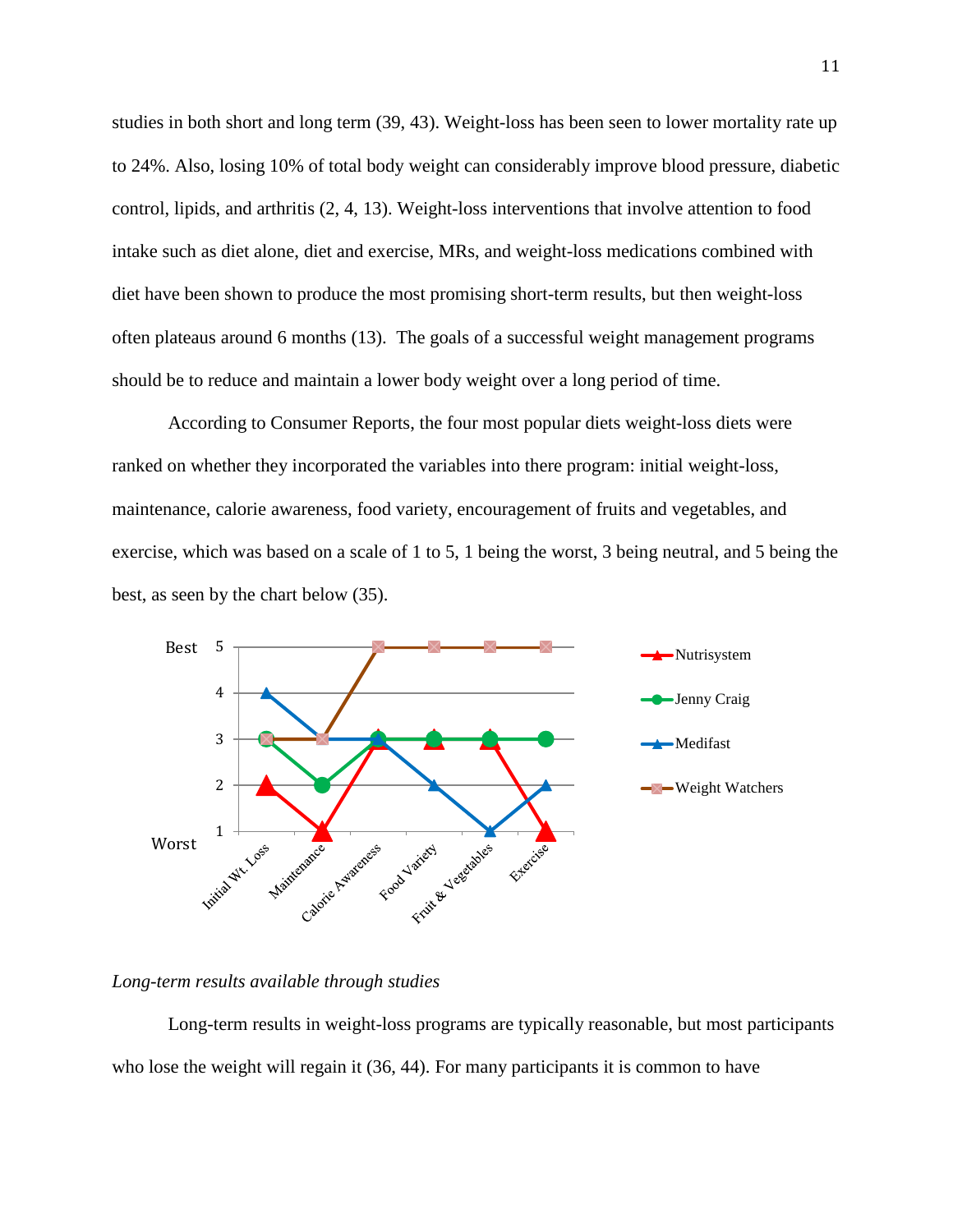studies in both short and long term (39, 43). Weight-loss has been seen to lower mortality rate up to 24%. Also, losing 10% of total body weight can considerably improve blood pressure, diabetic control, lipids, and arthritis (2, 4, 13). Weight-loss interventions that involve attention to food intake such as diet alone, diet and exercise, MRs, and weight-loss medications combined with diet have been shown to produce the most promising short-term results, but then weight-loss often plateaus around 6 months (13). The goals of a successful weight management programs should be to reduce and maintain a lower body weight over a long period of time.

According to Consumer Reports, the four most popular diets weight-loss diets were ranked on whether they incorporated the variables into there program: initial weight-loss, maintenance, calorie awareness, food variety, encouragement of fruits and vegetables, and exercise, which was based on a scale of 1 to 5, 1 being the worst, 3 being neutral, and 5 being the best, as seen by the chart below (35).



#### *Long-term results available through studies*

Long-term results in weight-loss programs are typically reasonable, but most participants who lose the weight will regain it (36, 44). For many participants it is common to have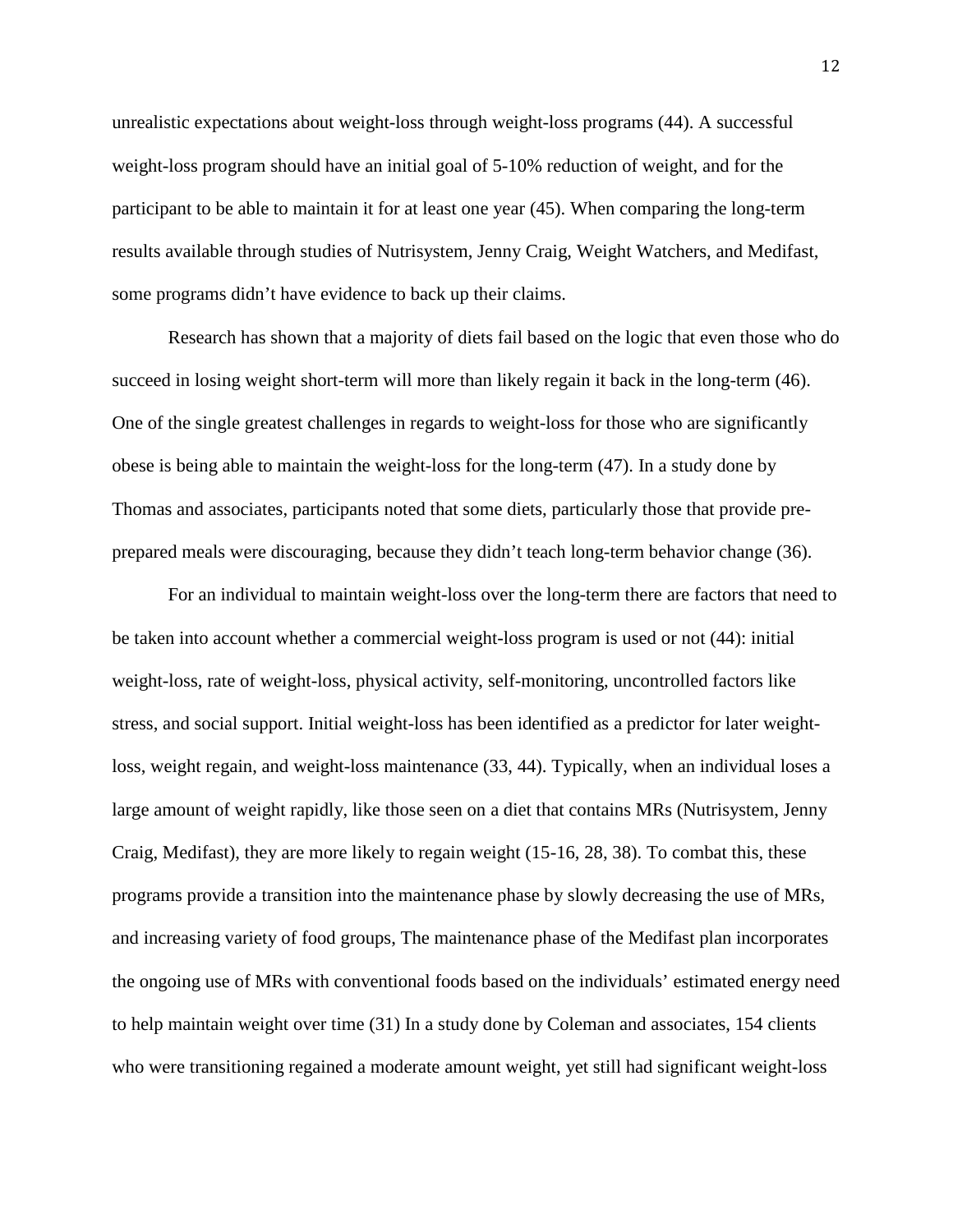unrealistic expectations about weight-loss through weight-loss programs (44). A successful weight-loss program should have an initial goal of 5-10% reduction of weight, and for the participant to be able to maintain it for at least one year (45). When comparing the long-term results available through studies of Nutrisystem, Jenny Craig, Weight Watchers, and Medifast, some programs didn't have evidence to back up their claims.

Research has shown that a majority of diets fail based on the logic that even those who do succeed in losing weight short-term will more than likely regain it back in the long-term (46). One of the single greatest challenges in regards to weight-loss for those who are significantly obese is being able to maintain the weight-loss for the long-term (47). In a study done by Thomas and associates, participants noted that some diets, particularly those that provide preprepared meals were discouraging, because they didn't teach long-term behavior change (36).

For an individual to maintain weight-loss over the long-term there are factors that need to be taken into account whether a commercial weight-loss program is used or not (44): initial weight-loss, rate of weight-loss, physical activity, self-monitoring, uncontrolled factors like stress, and social support. Initial weight-loss has been identified as a predictor for later weightloss, weight regain, and weight-loss maintenance (33, 44). Typically, when an individual loses a large amount of weight rapidly, like those seen on a diet that contains MRs (Nutrisystem, Jenny Craig, Medifast), they are more likely to regain weight (15-16, 28, 38). To combat this, these programs provide a transition into the maintenance phase by slowly decreasing the use of MRs, and increasing variety of food groups, The maintenance phase of the Medifast plan incorporates the ongoing use of MRs with conventional foods based on the individuals' estimated energy need to help maintain weight over time (31) In a study done by Coleman and associates, 154 clients who were transitioning regained a moderate amount weight, yet still had significant weight-loss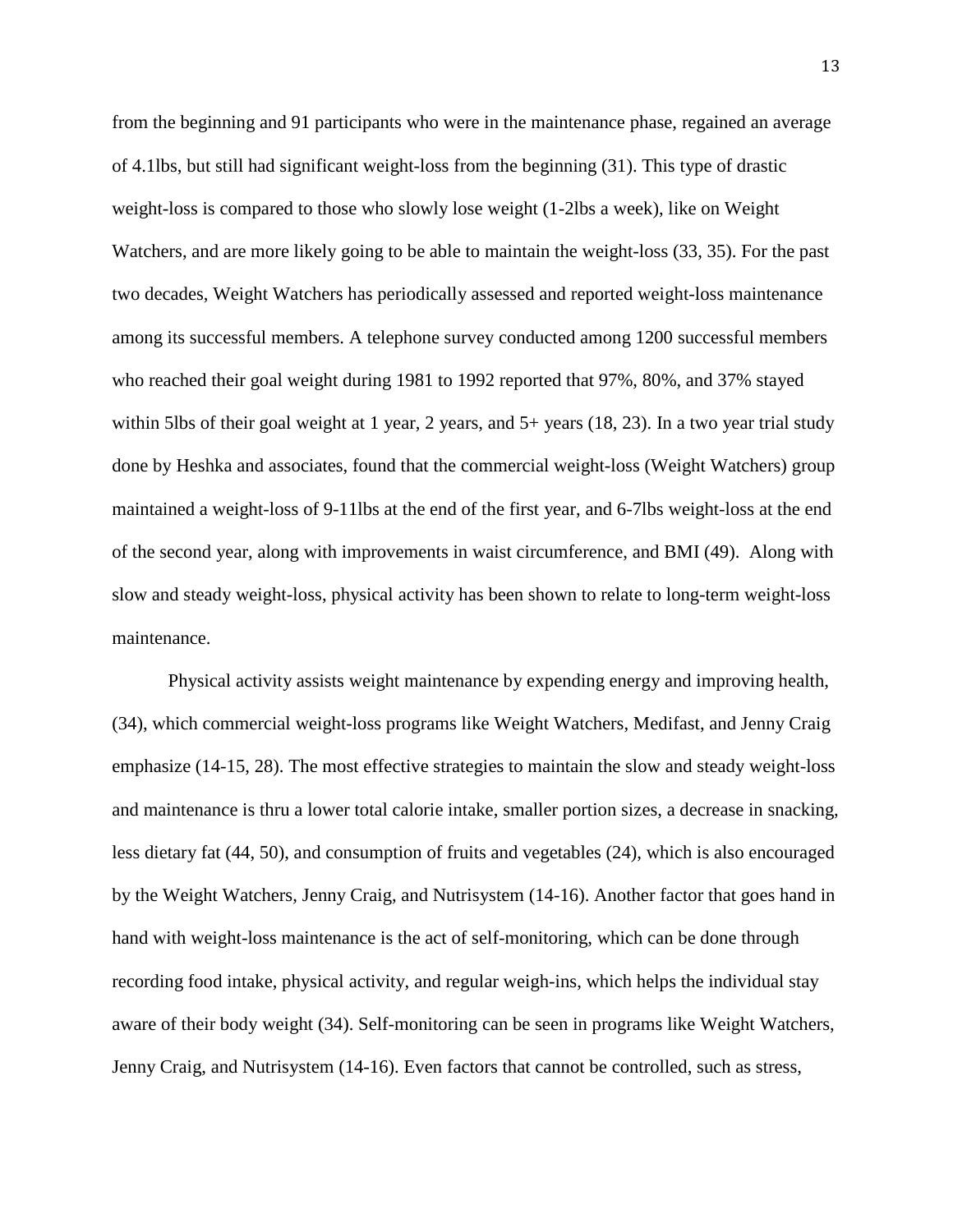from the beginning and 91 participants who were in the maintenance phase, regained an average of 4.1lbs, but still had significant weight-loss from the beginning (31). This type of drastic weight-loss is compared to those who slowly lose weight (1-2lbs a week), like on Weight Watchers, and are more likely going to be able to maintain the weight-loss (33, 35). For the past two decades, Weight Watchers has periodically assessed and reported weight-loss maintenance among its successful members. A telephone survey conducted among 1200 successful members who reached their goal weight during 1981 to 1992 reported that 97%, 80%, and 37% stayed within 5lbs of their goal weight at 1 year, 2 years, and 5+ years (18, 23). In a two year trial study done by Heshka and associates, found that the commercial weight-loss (Weight Watchers) group maintained a weight-loss of 9-11lbs at the end of the first year, and 6-7lbs weight-loss at the end of the second year, along with improvements in waist circumference, and BMI (49). Along with slow and steady weight-loss, physical activity has been shown to relate to long-term weight-loss maintenance.

Physical activity assists weight maintenance by expending energy and improving health, (34), which commercial weight-loss programs like Weight Watchers, Medifast, and Jenny Craig emphasize (14-15, 28). The most effective strategies to maintain the slow and steady weight-loss and maintenance is thru a lower total calorie intake, smaller portion sizes, a decrease in snacking, less dietary fat (44, 50), and consumption of fruits and vegetables (24), which is also encouraged by the Weight Watchers, Jenny Craig, and Nutrisystem (14-16). Another factor that goes hand in hand with weight-loss maintenance is the act of self-monitoring, which can be done through recording food intake, physical activity, and regular weigh-ins, which helps the individual stay aware of their body weight (34). Self-monitoring can be seen in programs like Weight Watchers, Jenny Craig, and Nutrisystem (14-16). Even factors that cannot be controlled, such as stress,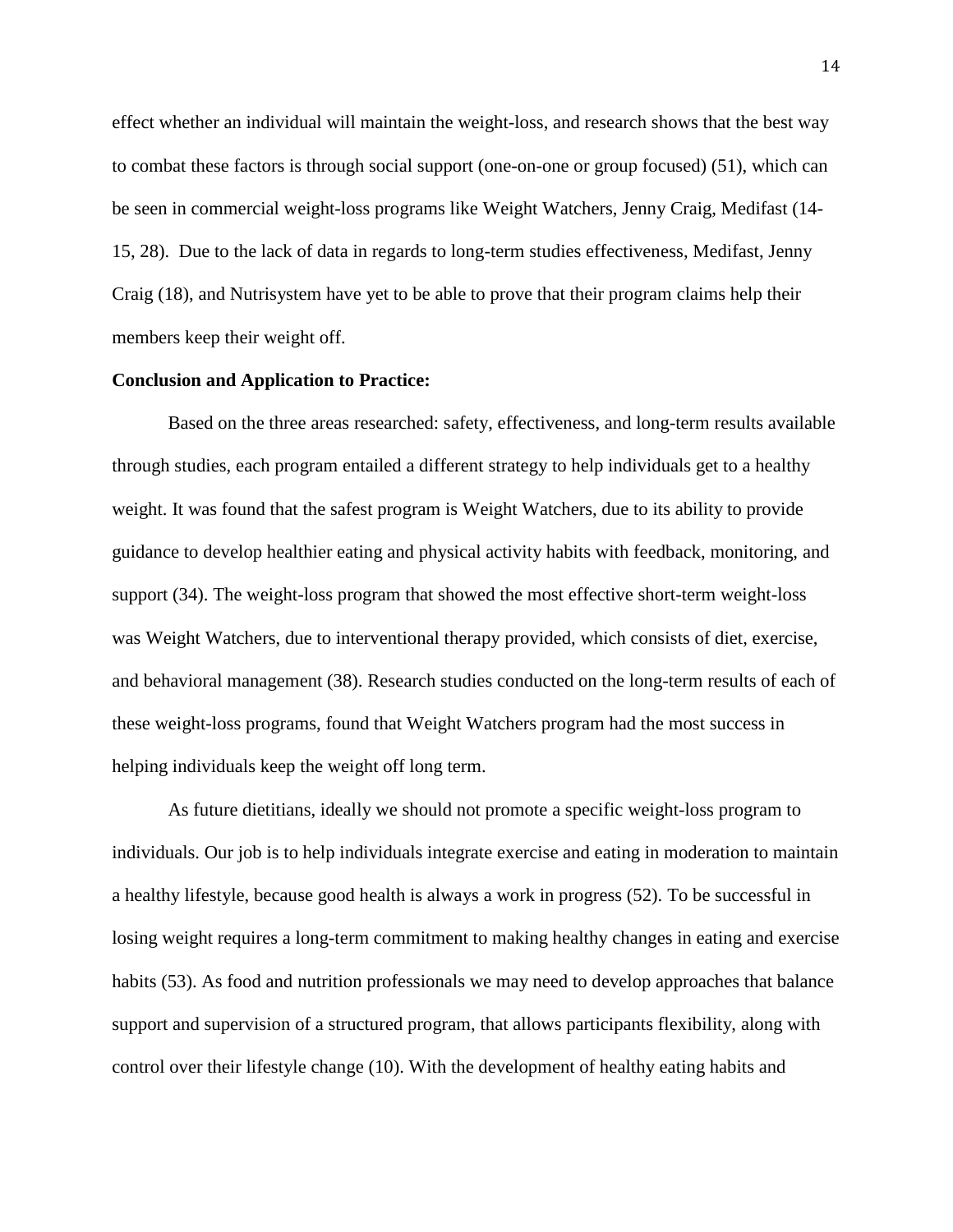effect whether an individual will maintain the weight-loss, and research shows that the best way to combat these factors is through social support (one-on-one or group focused) (51), which can be seen in commercial weight-loss programs like Weight Watchers, Jenny Craig, Medifast (14- 15, 28). Due to the lack of data in regards to long-term studies effectiveness, Medifast, Jenny Craig (18), and Nutrisystem have yet to be able to prove that their program claims help their members keep their weight off.

#### **Conclusion and Application to Practice:**

Based on the three areas researched: safety, effectiveness, and long-term results available through studies, each program entailed a different strategy to help individuals get to a healthy weight. It was found that the safest program is Weight Watchers, due to its ability to provide guidance to develop healthier eating and physical activity habits with feedback, monitoring, and support (34). The weight-loss program that showed the most effective short-term weight-loss was Weight Watchers, due to interventional therapy provided, which consists of diet, exercise, and behavioral management (38). Research studies conducted on the long-term results of each of these weight-loss programs, found that Weight Watchers program had the most success in helping individuals keep the weight off long term.

As future dietitians, ideally we should not promote a specific weight-loss program to individuals. Our job is to help individuals integrate exercise and eating in moderation to maintain a healthy lifestyle, because good health is always a work in progress (52). To be successful in losing weight requires a long-term commitment to making healthy changes in eating and exercise habits (53). As food and nutrition professionals we may need to develop approaches that balance support and supervision of a structured program, that allows participants flexibility, along with control over their lifestyle change (10). With the development of healthy eating habits and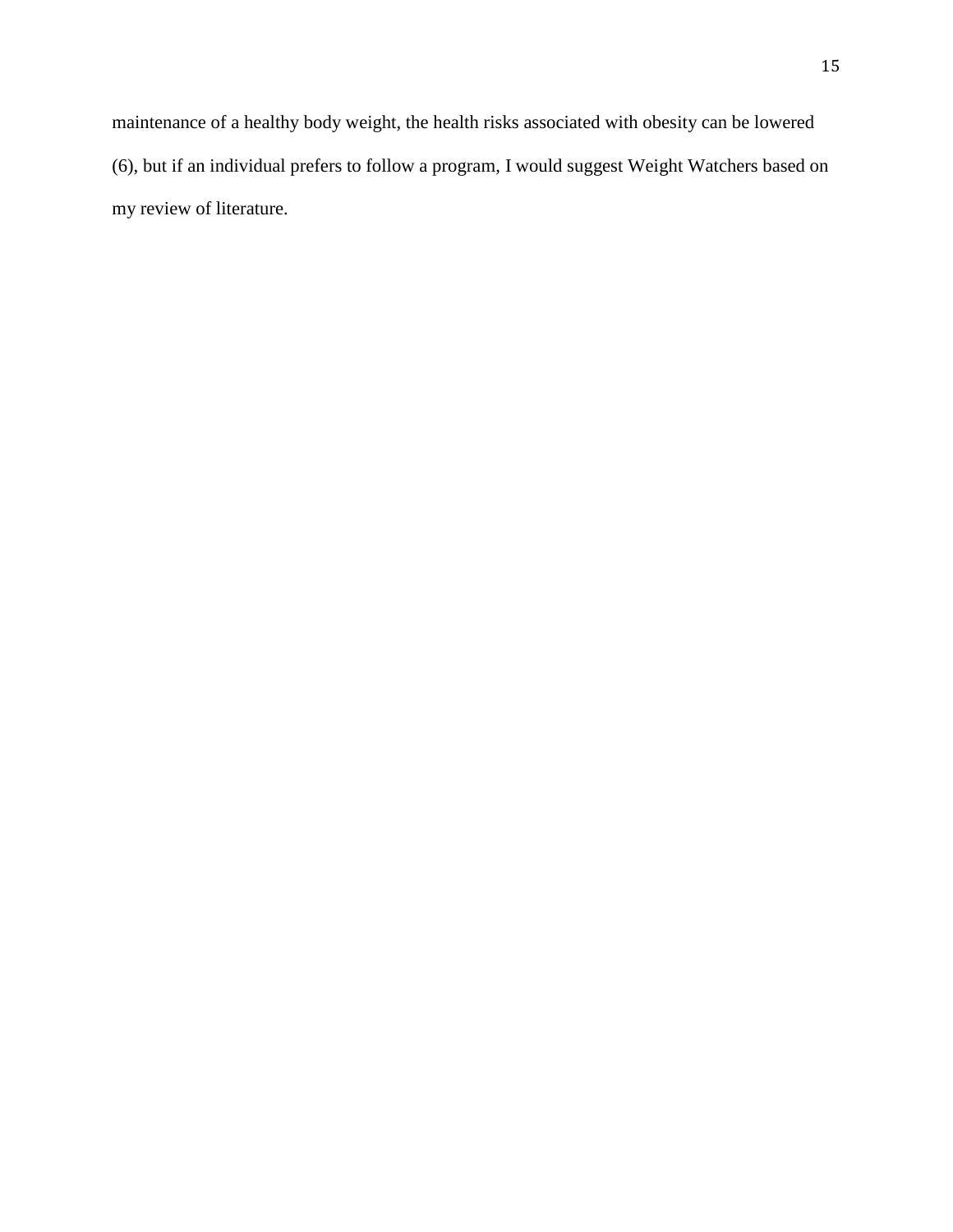maintenance of a healthy body weight, the health risks associated with obesity can be lowered (6), but if an individual prefers to follow a program, I would suggest Weight Watchers based on my review of literature.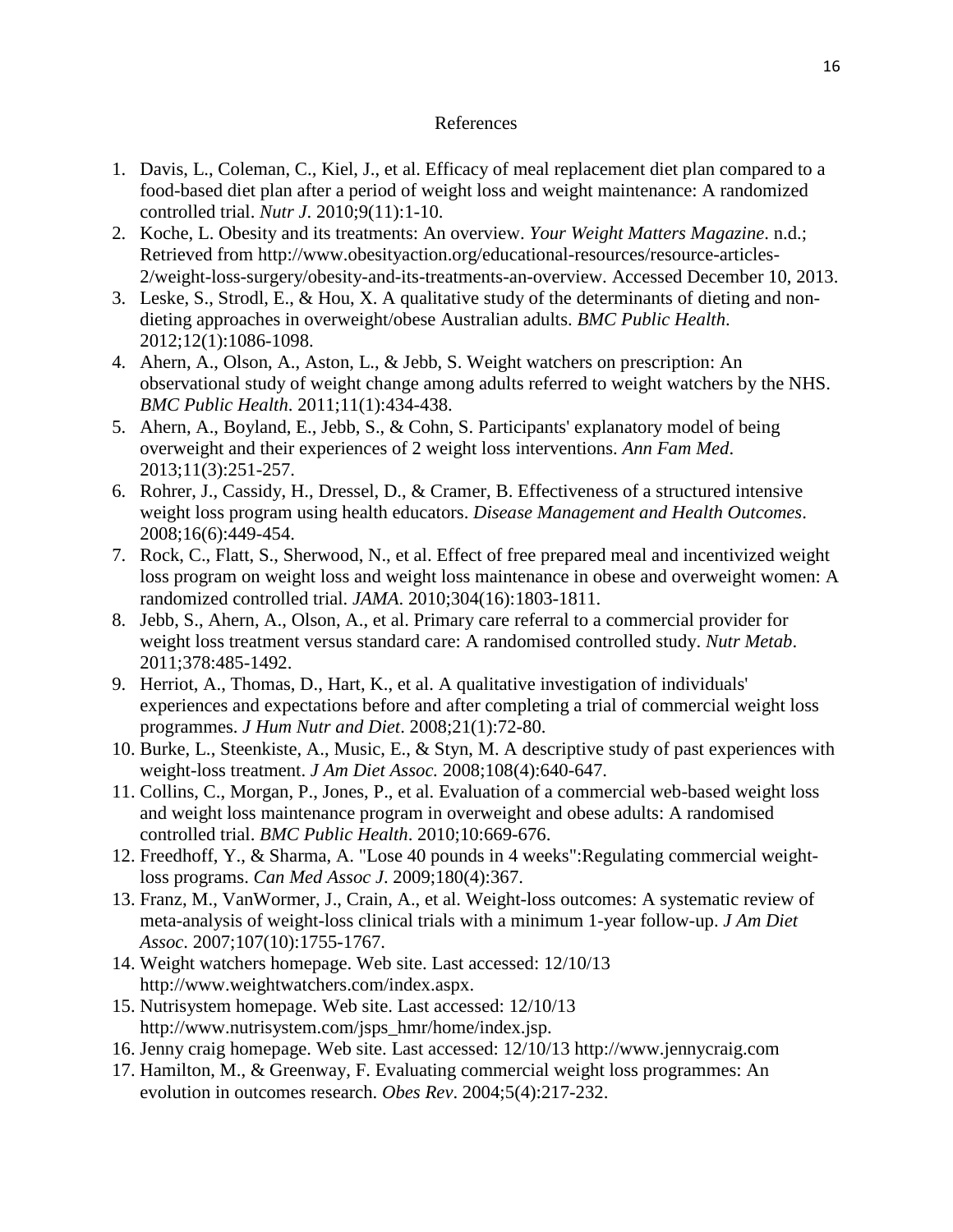## References

- 1. Davis, L., Coleman, C., Kiel, J., et al. Efficacy of meal replacement diet plan compared to a food-based diet plan after a period of weight loss and weight maintenance: A randomized controlled trial. *Nutr J*. 2010;9(11):1-10.
- 2. Koche, L. Obesity and its treatments: An overview. *Your Weight Matters Magazine*. n.d.; Retrieved from http://www.obesityaction.org/educational-resources/resource-articles-2/weight-loss-surgery/obesity-and-its-treatments-an-overview. Accessed December 10, 2013.
- 3. Leske, S., Strodl, E., & Hou, X. A qualitative study of the determinants of dieting and nondieting approaches in overweight/obese Australian adults. *BMC Public Health*. 2012;12(1):1086-1098.
- 4. Ahern, A., Olson, A., Aston, L., & Jebb, S. Weight watchers on prescription: An observational study of weight change among adults referred to weight watchers by the NHS. *BMC Public Health*. 2011;11(1):434-438.
- 5. Ahern, A., Boyland, E., Jebb, S., & Cohn, S. Participants' explanatory model of being overweight and their experiences of 2 weight loss interventions. *Ann Fam Med*. 2013;11(3):251-257.
- 6. Rohrer, J., Cassidy, H., Dressel, D., & Cramer, B. Effectiveness of a structured intensive weight loss program using health educators. *Disease Management and Health Outcomes*. 2008;16(6):449-454.
- 7. Rock, C., Flatt, S., Sherwood, N., et al. Effect of free prepared meal and incentivized weight loss program on weight loss and weight loss maintenance in obese and overweight women: A randomized controlled trial. *JAMA*. 2010;304(16):1803-1811.
- 8. Jebb, S., Ahern, A., Olson, A., et al. Primary care referral to a commercial provider for weight loss treatment versus standard care: A randomised controlled study. *Nutr Metab*. 2011;378:485-1492.
- 9. Herriot, A., Thomas, D., Hart, K., et al. A qualitative investigation of individuals' experiences and expectations before and after completing a trial of commercial weight loss programmes. *J Hum Nutr and Diet*. 2008;21(1):72-80.
- 10. Burke, L., Steenkiste, A., Music, E., & Styn, M. A descriptive study of past experiences with weight-loss treatment. *J Am Diet Assoc.* 2008;108(4):640-647.
- 11. Collins, C., Morgan, P., Jones, P., et al. Evaluation of a commercial web-based weight loss and weight loss maintenance program in overweight and obese adults: A randomised controlled trial. *BMC Public Health*. 2010;10:669-676.
- 12. Freedhoff, Y., & Sharma, A. "Lose 40 pounds in 4 weeks":Regulating commercial weightloss programs. *Can Med Assoc J*. 2009;180(4):367.
- 13. Franz, M., VanWormer, J., Crain, A., et al. Weight-loss outcomes: A systematic review of meta-analysis of weight-loss clinical trials with a minimum 1-year follow-up. *J Am Diet Assoc*. 2007;107(10):1755-1767.
- 14. Weight watchers homepage. Web site. Last accessed: 12/10/13 http://www.weightwatchers.com/index.aspx.
- 15. Nutrisystem homepage. Web site. Last accessed: 12/10/13 http://www.nutrisystem.com/jsps\_hmr/home/index.jsp.
- 16. Jenny craig homepage. Web site. Last accessed: 12/10/13 http://www.jennycraig.com
- 17. Hamilton, M., & Greenway, F. Evaluating commercial weight loss programmes: An evolution in outcomes research. *Obes Rev*. 2004;5(4):217-232.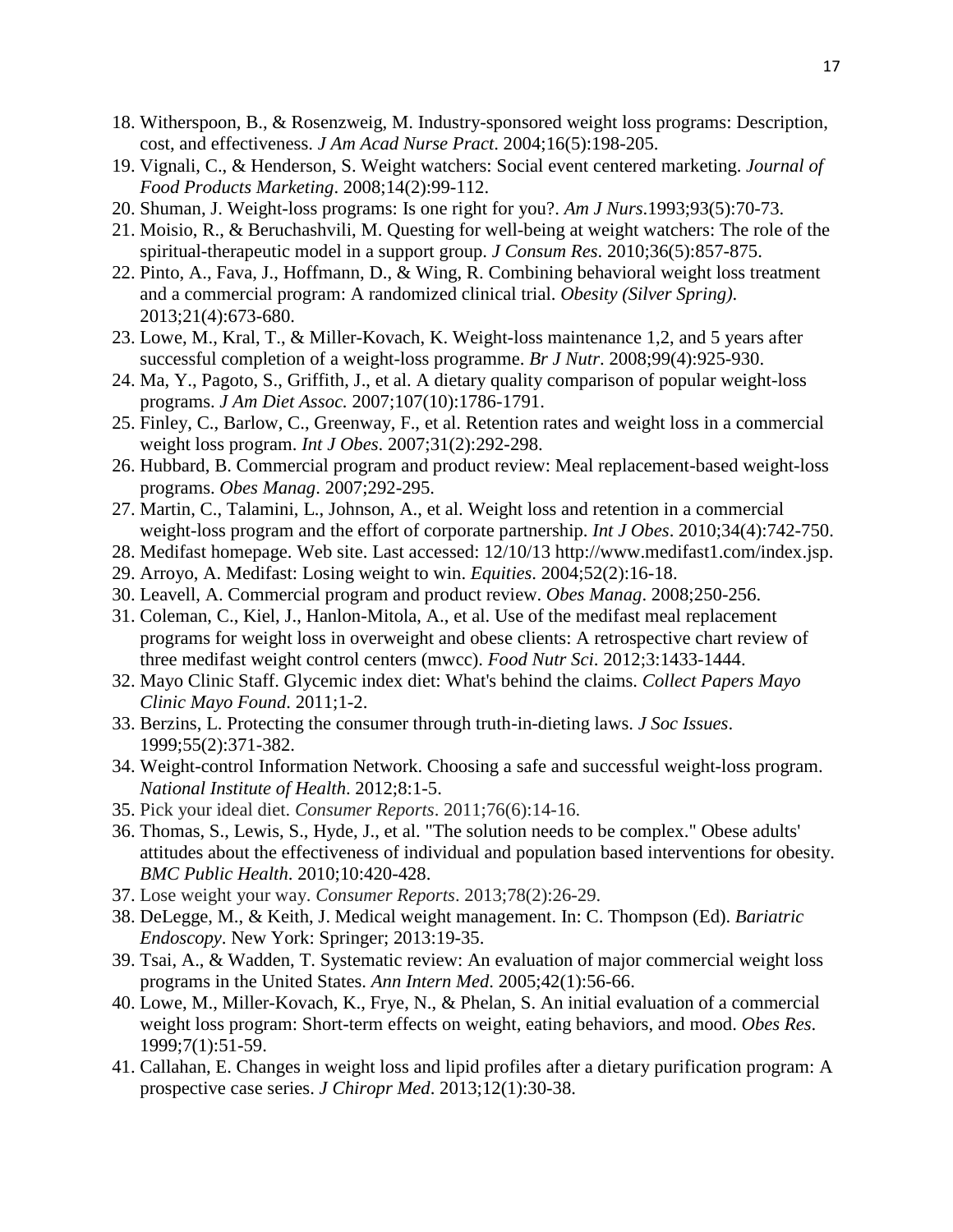- 18. Witherspoon, B., & Rosenzweig, M. Industry-sponsored weight loss programs: Description, cost, and effectiveness. *J Am Acad Nurse Pract*. 2004;16(5):198-205.
- 19. Vignali, C., & Henderson, S. Weight watchers: Social event centered marketing. *Journal of Food Products Marketing*. 2008;14(2):99-112.
- 20. Shuman, J. Weight-loss programs: Is one right for you?. *Am J Nurs*.1993;93(5):70-73.
- 21. Moisio, R., & Beruchashvili, M. Questing for well-being at weight watchers: The role of the spiritual-therapeutic model in a support group. *J Consum Res*. 2010;36(5):857-875.
- 22. Pinto, A., Fava, J., Hoffmann, D., & Wing, R. Combining behavioral weight loss treatment and a commercial program: A randomized clinical trial. *Obesity (Silver Spring)*. 2013;21(4):673-680.
- 23. Lowe, M., Kral, T., & Miller-Kovach, K. Weight-loss maintenance 1,2, and 5 years after successful completion of a weight-loss programme. *Br J Nutr*. 2008;99(4):925-930.
- 24. Ma, Y., Pagoto, S., Griffith, J., et al. A dietary quality comparison of popular weight-loss programs. *J Am Diet Assoc.* 2007;107(10):1786-1791.
- 25. Finley, C., Barlow, C., Greenway, F., et al. Retention rates and weight loss in a commercial weight loss program. *Int J Obes*. 2007;31(2):292-298.
- 26. Hubbard, B. Commercial program and product review: Meal replacement-based weight-loss programs. *Obes Manag*. 2007;292-295.
- 27. Martin, C., Talamini, L., Johnson, A., et al. Weight loss and retention in a commercial weight-loss program and the effort of corporate partnership. *Int J Obes*. 2010;34(4):742-750.
- 28. Medifast homepage. Web site. Last accessed: 12/10/13 http://www.medifast1.com/index.jsp.
- 29. Arroyo, A. Medifast: Losing weight to win. *Equities*. 2004;52(2):16-18.
- 30. Leavell, A. Commercial program and product review. *Obes Manag*. 2008;250-256.
- 31. Coleman, C., Kiel, J., Hanlon-Mitola, A., et al. Use of the medifast meal replacement programs for weight loss in overweight and obese clients: A retrospective chart review of three medifast weight control centers (mwcc). *Food Nutr Sci*. 2012;3:1433-1444.
- 32. Mayo Clinic Staff. Glycemic index diet: What's behind the claims. *Collect Papers Mayo Clinic Mayo Found*. 2011;1-2.
- 33. Berzins, L. Protecting the consumer through truth-in-dieting laws. *J Soc Issues*. 1999;55(2):371-382.
- 34. Weight-control Information Network. Choosing a safe and successful weight-loss program. *National Institute of Health*. 2012;8:1-5.
- 35. Pick your ideal diet. *Consumer Reports*. 2011;76(6):14-16.
- 36. Thomas, S., Lewis, S., Hyde, J., et al. "The solution needs to be complex." Obese adults' attitudes about the effectiveness of individual and population based interventions for obesity. *BMC Public Health*. 2010;10:420-428.
- 37. Lose weight your way. *Consumer Reports*. 2013;78(2):26-29.
- 38. DeLegge, M., & Keith, J. Medical weight management. In: C. Thompson (Ed). *Bariatric Endoscopy*. New York: Springer; 2013:19-35.
- 39. Tsai, A., & Wadden, T. Systematic review: An evaluation of major commercial weight loss programs in the United States. *Ann Intern Med*. 2005;42(1):56-66.
- 40. Lowe, M., Miller-Kovach, K., Frye, N., & Phelan, S. An initial evaluation of a commercial weight loss program: Short-term effects on weight, eating behaviors, and mood. *Obes Res*. 1999;7(1):51-59.
- 41. Callahan, E. Changes in weight loss and lipid profiles after a dietary purification program: A prospective case series. *J Chiropr Med*. 2013;12(1):30-38.